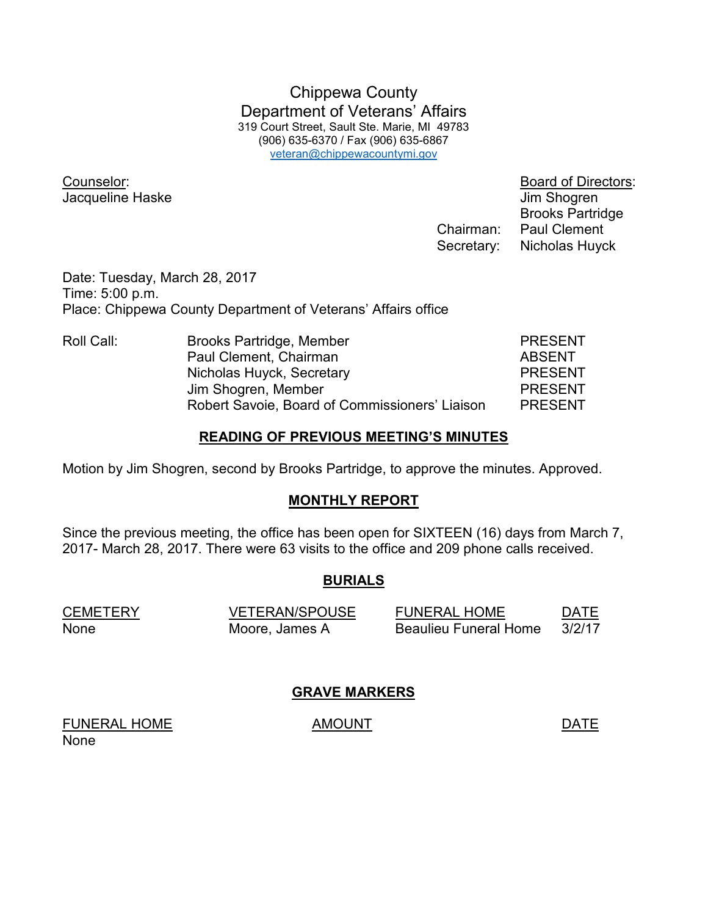Chippewa County Department of Veterans' Affairs 319 Court Street, Sault Ste. Marie, MI 49783 (906) 635-6370 / Fax (906) 635-6867 veteran@chippewacountymi.gov

Counselor: Board of Directors: Jacqueline Haske Jacqueline Haske June 1999

 Brooks Partridge Chairman: Paul Clement Secretary: Nicholas Huyck

Date: Tuesday, March 28, 2017 Time: 5:00 p.m. Place: Chippewa County Department of Veterans' Affairs office

| Roll Call: | Brooks Partridge, Member                       | <b>PRESENT</b> |
|------------|------------------------------------------------|----------------|
|            | Paul Clement, Chairman                         | <b>ABSENT</b>  |
|            | Nicholas Huyck, Secretary                      | <b>PRESENT</b> |
|            | Jim Shogren, Member                            | <b>PRESENT</b> |
|            | Robert Savoie, Board of Commissioners' Liaison | <b>PRESENT</b> |

## **READING OF PREVIOUS MEETING'S MINUTES**

Motion by Jim Shogren, second by Brooks Partridge, to approve the minutes. Approved.

## **MONTHLY REPORT**

Since the previous meeting, the office has been open for SIXTEEN (16) days from March 7, 2017- March 28, 2017. There were 63 visits to the office and 209 phone calls received.

# **BURIALS**

| CEMETERY | <b>VETERAN/SPOUSE</b> | <b>FUNERAL HOME</b>          | DATE   |
|----------|-----------------------|------------------------------|--------|
| None     | Moore, James A        | <b>Beaulieu Funeral Home</b> | 3/2/17 |

# **GRAVE MARKERS**

FUNERAL HOME AMOUNT AMOUNT None